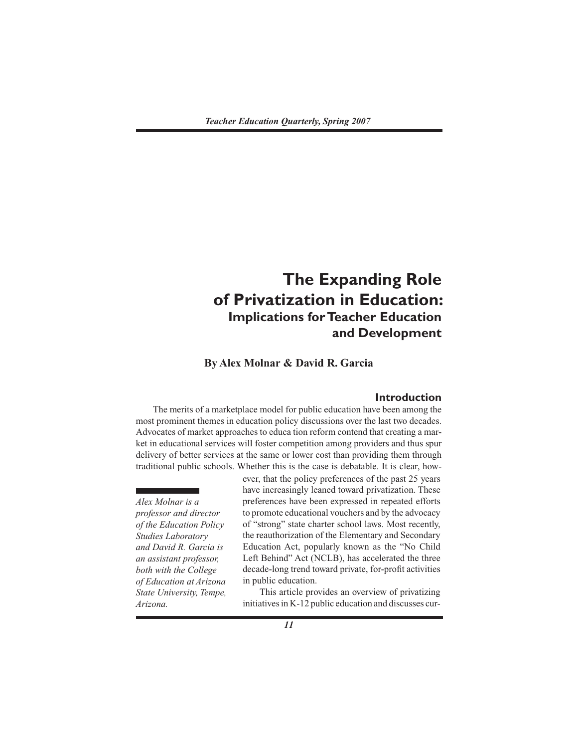# **The Expanding Role of Privatization in Education: Implications for Teacher Education and Development**

**By Alex Molnar & David R. Garcia**

## **Introduction**

 The merits of a marketplace model for public education have been among the most prominent themes in education policy discussions over the last two decades. Advocates of market approaches to educa tion reform contend that creating a market in educational services will foster competition among providers and thus spur delivery of better services at the same or lower cost than providing them through traditional public schools. Whether this is the case is debatable. It is clear, how-

*Alex Molnar is a professor and director of the Education Policy Studies Laboratory and David R. Garcia is an assistant professor, both with the College of Education at Arizona State University, Tempe, Arizona.*

ever, that the policy preferences of the past 25 years have increasingly leaned toward privatization. These preferences have been expressed in repeated efforts to promote educational vouchers and by the advocacy of "strong" state charter school laws. Most recently, the reauthorization of the Elementary and Secondary Education Act, popularly known as the "No Child Left Behind" Act (NCLB), has accelerated the three decade-long trend toward private, for-profit activities in public education.

 This article provides an overview of privatizing initiatives in K-12 public education and discusses cur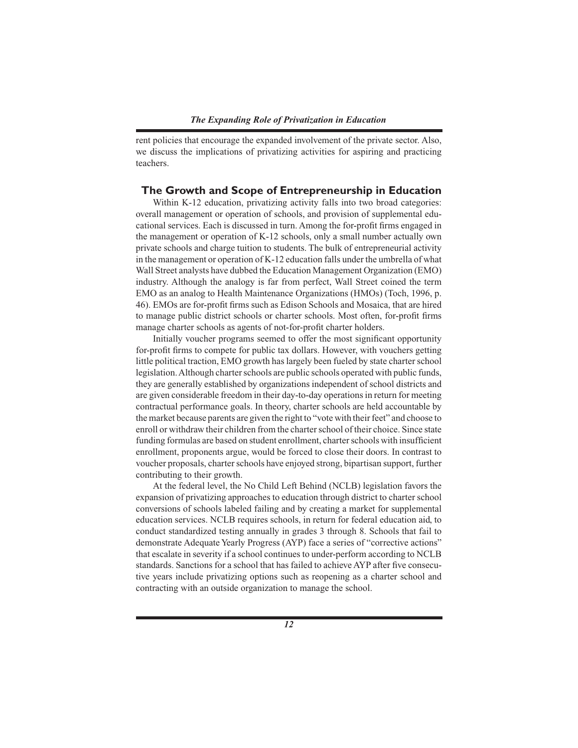rent policies that encourage the expanded involvement of the private sector. Also, we discuss the implications of privatizing activities for aspiring and practicing teachers.

## **The Growth and Scope of Entrepreneurship in Education**

 Within K-12 education, privatizing activity falls into two broad categories: overall management or operation of schools, and provision of supplemental educational services. Each is discussed in turn. Among the for-profit firms engaged in the management or operation of K-12 schools, only a small number actually own private schools and charge tuition to students. The bulk of entrepreneurial activity in the management or operation of K-12 education falls under the umbrella of what Wall Street analysts have dubbed the Education Management Organization (EMO) industry. Although the analogy is far from perfect, Wall Street coined the term EMO as an analog to Health Maintenance Organizations (HMOs) (Toch, 1996, p. 46). EMOs are for-profit firms such as Edison Schools and Mosaica, that are hired to manage public district schools or charter schools. Most often, for-profit firms manage charter schools as agents of not-for-profit charter holders.

Initially voucher programs seemed to offer the most significant opportunity for-profit firms to compete for public tax dollars. However, with vouchers getting little political traction, EMO growth has largely been fueled by state charter school legislation. Although charter schools are public schools operated with public funds, they are generally established by organizations independent of school districts and are given considerable freedom in their day-to-day operations in return for meeting contractual performance goals. In theory, charter schools are held accountable by the market because parents are given the right to "vote with their feet" and choose to enroll or withdraw their children from the charter school of their choice. Since state funding formulas are based on student enrollment, charter schools with insufficient enrollment, proponents argue, would be forced to close their doors. In contrast to voucher proposals, charter schools have enjoyed strong, bipartisan support, further contributing to their growth.

 At the federal level, the No Child Left Behind (NCLB) legislation favors the expansion of privatizing approaches to education through district to charter school conversions of schools labeled failing and by creating a market for supplemental education services. NCLB requires schools, in return for federal education aid, to conduct standardized testing annually in grades 3 through 8. Schools that fail to demonstrate Adequate Yearly Progress (AYP) face a series of "corrective actions" that escalate in severity if a school continues to under-perform according to NCLB standards. Sanctions for a school that has failed to achieve AYP after five consecutive years include privatizing options such as reopening as a charter school and contracting with an outside organization to manage the school.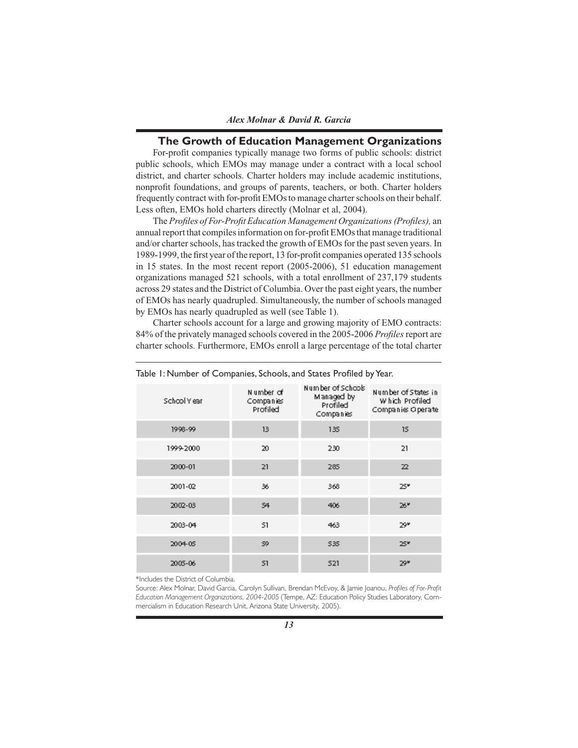## **The Growth of Education Management Organizations**

For-profit companies typically manage two forms of public schools: district public schools, which EMOs may manage under a contract with a local school district, and charter schools. Charter holders may include academic institutions, nonprofit foundations, and groups of parents, teachers, or both. Charter holders frequently contract with for-profit EMOs to manage charter schools on their behalf. Less often, EMOs hold charters directly (Molnar et al, 2004).

The Profiles of For-Profit Education Management Organizations (Profiles), an annual report that compiles information on for-profit EMOs that manage traditional and/or charter schools, has tracked the growth of EMOs for the past seven years. In 1989-1999, the first year of the report, 13 for-profit companies operated 135 schools in 15 states. In the most recent report (2005-2006), 51 education management organizations managed 521 schools, with a total enrollment of 237,179 students across 29 states and the District of Columbia. Over the past eight years, the number of EMOs has nearly quadrupled. Simultaneously, the number of schools managed by EMOs has nearly quadrupled as well (see Table 1).

 Charter schools account for a large and growing majority of EMO contracts: 84% of the privately managed schools covered in the 2005-2006 *Profi les*report are charter schools. Furthermore, EMOs enroll a large percentage of the total charter

| School Year | Number of<br>Companies<br>Profiled | Number of Schools<br>Managed by<br>Profiled<br>Companies | Number of States in<br>Which Profiled<br>Companies Operate |
|-------------|------------------------------------|----------------------------------------------------------|------------------------------------------------------------|
| 1998-99     | 13                                 | 135                                                      | 15                                                         |
| 1999-2000   | 20                                 | 230                                                      | 21                                                         |
| 2000-01     | 21                                 | 285                                                      | 22                                                         |
| 2001-02     | 36                                 | 368                                                      | 25°                                                        |
| 2002-03     | S4                                 | 406                                                      | 26™                                                        |
| 2003-04     | 51                                 | 463                                                      | 29۴                                                        |
| 2004-05     | 59                                 | \$35                                                     | 25°                                                        |
| 2005-06     | 51                                 | 521                                                      | 29۳                                                        |

Table 1: Number of Companies, Schools, and States Profiled by Year.

\*Includes the District of Columbia.

Source: Alex Molnar, David Garcia, Carolyn Sullivan, Brendan McEvoy, & Jamie Joanou, Profiles of For-Profit *Education Management Organizations, 2004-2005* (Tempe, AZ: Education Policy Studies Laboratory, Commercialism in Education Research Unit, Arizona State University, 2005).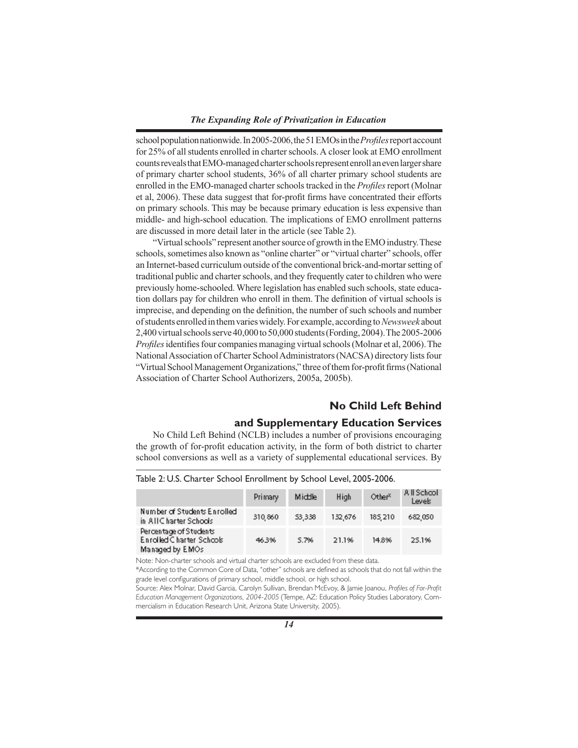school population nationwide. In 2005-2006, the 51 EMOs in the *Profi les* report account for 25% of all students enrolled in charter schools. A closer look at EMO enrollment counts reveals that EMO-managed charter schools represent enroll an even larger share of primary charter school students, 36% of all charter primary school students are enrolled in the EMO-managed charter schools tracked in the *Profiles* report (Molnar et al, 2006). These data suggest that for-profit firms have concentrated their efforts on primary schools. This may be because primary education is less expensive than middle- and high-school education. The implications of EMO enrollment patterns are discussed in more detail later in the article (see Table 2).

 "Virtual schools" represent another source of growth in the EMO industry. These schools, sometimes also known as "online charter" or "virtual charter" schools, offer an Internet-based curriculum outside of the conventional brick-and-mortar setting of traditional public and charter schools, and they frequently cater to children who were previously home-schooled. Where legislation has enabled such schools, state education dollars pay for children who enroll in them. The definition of virtual schools is imprecise, and depending on the definition, the number of such schools and number of students enrolled in them varies widely. For example, according to *Newsweek* about 2,400 virtual schools serve 40,000 to 50,000 students (Fording, 2004). The 2005-2006 *Profiles* identifies four companies managing virtual schools (Molnar et al, 2006). The National Association of Charter School Administrators (NACSA) directory lists four "Virtual School Management Organizations," three of them for-profit firms (National Association of Charter School Authorizers, 2005a, 2005b).

# **No Child Left Behind**

# **and Supplementary Education Services**

 No Child Left Behind (NCLB) includes a number of provisions encouraging the growth of for-profit education activity, in the form of both district to charter school conversions as well as a variety of supplemental educational services. By

|                                                                       | Primary | Middle | High    | Other <sup>x</sup> | All School<br>Levels |  |
|-----------------------------------------------------------------------|---------|--------|---------|--------------------|----------------------|--|
| Number of Students Enrolled<br>in AIIC harter Schools                 | 310,860 | 53,338 | 132,676 | 185, 210           | 682,050              |  |
| Percentage of Students<br>Enrolled Charter Schools<br>Managed by EMOs | 46.3%   | 5.7%   | 21.1%   | 14.8%              | 25.1%                |  |

Table 2: U.S. Charter School Enrollment by School Level, 2005-2006.

Note: Non-charter schools and virtual charter schools are excluded from these data.

\*According to the Common Core of Data, "other" schools are defined as schools that do not fall within the grade level configurations of primary school, middle school, or high school.

Source: Alex Molnar, David Garcia, Carolyn Sullivan, Brendan McEvoy, & Jamie Joanou, Profiles of For-Profit *Education Management Organizations, 2004-2005* (Tempe, AZ: Education Policy Studies Laboratory, Commercialism in Education Research Unit, Arizona State University, 2005).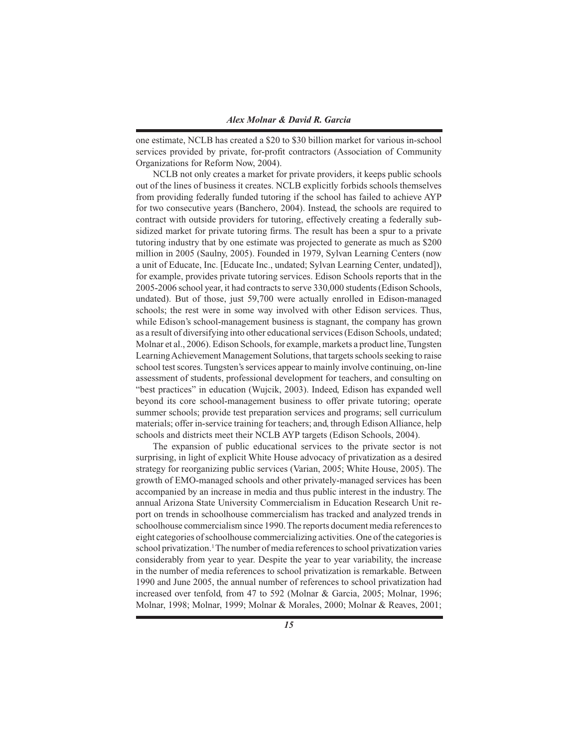one estimate, NCLB has created a \$20 to \$30 billion market for various in-school services provided by private, for-profit contractors (Association of Community Organizations for Reform Now, 2004).

 NCLB not only creates a market for private providers, it keeps public schools out of the lines of business it creates. NCLB explicitly forbids schools themselves from providing federally funded tutoring if the school has failed to achieve AYP for two consecutive years (Banchero, 2004). Instead, the schools are required to contract with outside providers for tutoring, effectively creating a federally subsidized market for private tutoring firms. The result has been a spur to a private tutoring industry that by one estimate was projected to generate as much as \$200 million in 2005 (Saulny, 2005). Founded in 1979, Sylvan Learning Centers (now a unit of Educate, Inc. [Educate Inc., undated; Sylvan Learning Center, undated]), for example, provides private tutoring services. Edison Schools reports that in the 2005-2006 school year, it had contracts to serve 330,000 students (Edison Schools, undated). But of those, just 59,700 were actually enrolled in Edison-managed schools; the rest were in some way involved with other Edison services. Thus, while Edison's school-management business is stagnant, the company has grown as a result of diversifying into other educational services (Edison Schools, undated; Molnar et al., 2006). Edison Schools, for example, markets a product line, Tungsten Learning Achievement Management Solutions, that targets schools seeking to raise school test scores. Tungsten's services appear to mainly involve continuing, on-line assessment of students, professional development for teachers, and consulting on "best practices" in education (Wujcik, 2003). Indeed, Edison has expanded well beyond its core school-management business to offer private tutoring; operate summer schools; provide test preparation services and programs; sell curriculum materials; offer in-service training for teachers; and, through Edison Alliance, help schools and districts meet their NCLB AYP targets (Edison Schools, 2004).

 The expansion of public educational services to the private sector is not surprising, in light of explicit White House advocacy of privatization as a desired strategy for reorganizing public services (Varian, 2005; White House, 2005). The growth of EMO-managed schools and other privately-managed services has been accompanied by an increase in media and thus public interest in the industry. The annual Arizona State University Commercialism in Education Research Unit report on trends in schoolhouse commercialism has tracked and analyzed trends in schoolhouse commercialism since 1990. The reports document media references to eight categories of schoolhouse commercializing activities. One of the categories is school privatization.<sup>1</sup> The number of media references to school privatization varies considerably from year to year. Despite the year to year variability, the increase in the number of media references to school privatization is remarkable. Between 1990 and June 2005, the annual number of references to school privatization had increased over tenfold, from 47 to 592 (Molnar & Garcia, 2005; Molnar, 1996; Molnar, 1998; Molnar, 1999; Molnar & Morales, 2000; Molnar & Reaves, 2001;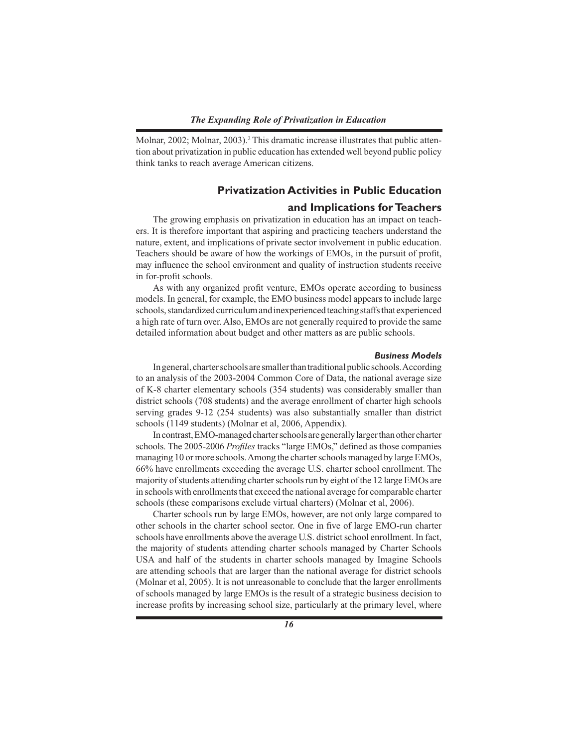Molnar, 2002; Molnar, 2003).<sup>2</sup> This dramatic increase illustrates that public attention about privatization in public education has extended well beyond public policy think tanks to reach average American citizens.

# **Privatization Activities in Public Education**

# **and Implications for Teachers**

 The growing emphasis on privatization in education has an impact on teachers. It is therefore important that aspiring and practicing teachers understand the nature, extent, and implications of private sector involvement in public education. Teachers should be aware of how the workings of EMOs, in the pursuit of profit, may influence the school environment and quality of instruction students receive in for-profit schools.

As with any organized profit venture, EMOs operate according to business models. In general, for example, the EMO business model appears to include large schools, standardized curriculum and inexperienced teaching staffs that experienced a high rate of turn over. Also, EMOs are not generally required to provide the same detailed information about budget and other matters as are public schools.

#### *Business Models*

 In general, charter schools are smaller than traditional public schools. According to an analysis of the 2003-2004 Common Core of Data, the national average size of K-8 charter elementary schools (354 students) was considerably smaller than district schools (708 students) and the average enrollment of charter high schools serving grades 9-12 (254 students) was also substantially smaller than district schools (1149 students) (Molnar et al, 2006, Appendix).

 In contrast, EMO-managed charter schools are generally larger than other charter schools. The 2005-2006 *Profiles* tracks "large EMOs," defined as those companies managing 10 or more schools. Among the charter schools managed by large EMOs, 66% have enrollments exceeding the average U.S. charter school enrollment. The majority of students attending charter schools run by eight of the 12 large EMOs are in schools with enrollments that exceed the national average for comparable charter schools (these comparisons exclude virtual charters) (Molnar et al, 2006).

 Charter schools run by large EMOs, however, are not only large compared to other schools in the charter school sector. One in five of large EMO-run charter schools have enrollments above the average U.S. district school enrollment. In fact, the majority of students attending charter schools managed by Charter Schools USA and half of the students in charter schools managed by Imagine Schools are attending schools that are larger than the national average for district schools (Molnar et al, 2005). It is not unreasonable to conclude that the larger enrollments of schools managed by large EMOs is the result of a strategic business decision to increase profits by increasing school size, particularly at the primary level, where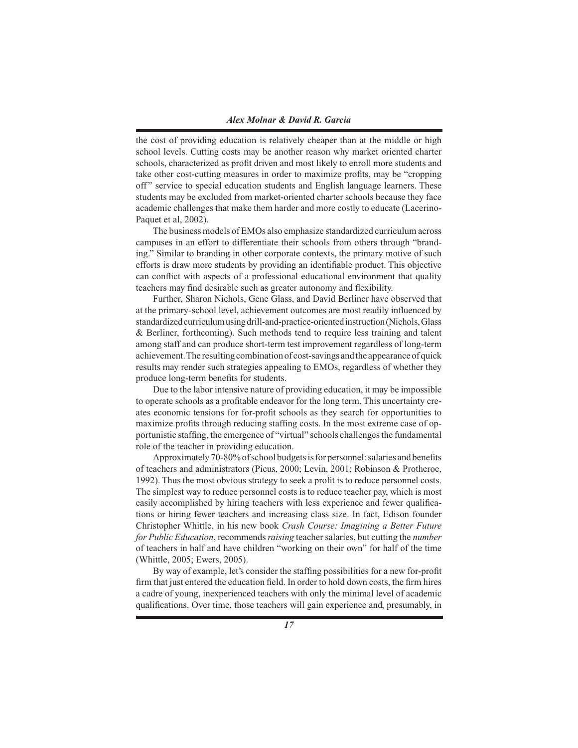the cost of providing education is relatively cheaper than at the middle or high school levels. Cutting costs may be another reason why market oriented charter schools, characterized as profit driven and most likely to enroll more students and take other cost-cutting measures in order to maximize profits, may be "cropping" off" service to special education students and English language learners. These students may be excluded from market-oriented charter schools because they face academic challenges that make them harder and more costly to educate (Lacerino-Paquet et al, 2002).

 The business models of EMOs also emphasize standardized curriculum across campuses in an effort to differentiate their schools from others through "branding." Similar to branding in other corporate contexts, the primary motive of such efforts is draw more students by providing an identifiable product. This objective can conflict with aspects of a professional educational environment that quality teachers may find desirable such as greater autonomy and flexibility.

 Further, Sharon Nichols, Gene Glass, and David Berliner have observed that at the primary-school level, achievement outcomes are most readily influenced by standardized curriculum using drill-and-practice-oriented instruction (Nichols, Glass & Berliner, forthcoming). Such methods tend to require less training and talent among staff and can produce short-term test improvement regardless of long-term achievement. The resulting combination of cost-savings and the appearance of quick results may render such strategies appealing to EMOs, regardless of whether they produce long-term benefits for students.

 Due to the labor intensive nature of providing education, it may be impossible to operate schools as a profitable endeavor for the long term. This uncertainty creates economic tensions for for-profi t schools as they search for opportunities to maximize profits through reducing staffing costs. In the most extreme case of opportunistic staffing, the emergence of "virtual" schools challenges the fundamental role of the teacher in providing education.

Approximately 70-80% of school budgets is for personnel: salaries and benefits of teachers and administrators (Picus, 2000; Levin, 2001; Robinson & Protheroe, 1992). Thus the most obvious strategy to seek a profit is to reduce personnel costs. The simplest way to reduce personnel costs is to reduce teacher pay, which is most easily accomplished by hiring teachers with less experience and fewer qualifications or hiring fewer teachers and increasing class size. In fact, Edison founder Christopher Whittle, in his new book *Crash Course: Imagining a Better Future for Public Education*, recommends *raising* teacher salaries, but cutting the *number* of teachers in half and have children "working on their own" for half of the time (Whittle, 2005; Ewers, 2005).

By way of example, let's consider the staffing possibilities for a new for-profit firm that just entered the education field. In order to hold down costs, the firm hires a cadre of young, inexperienced teachers with only the minimal level of academic qualifications. Over time, those teachers will gain experience and, presumably, in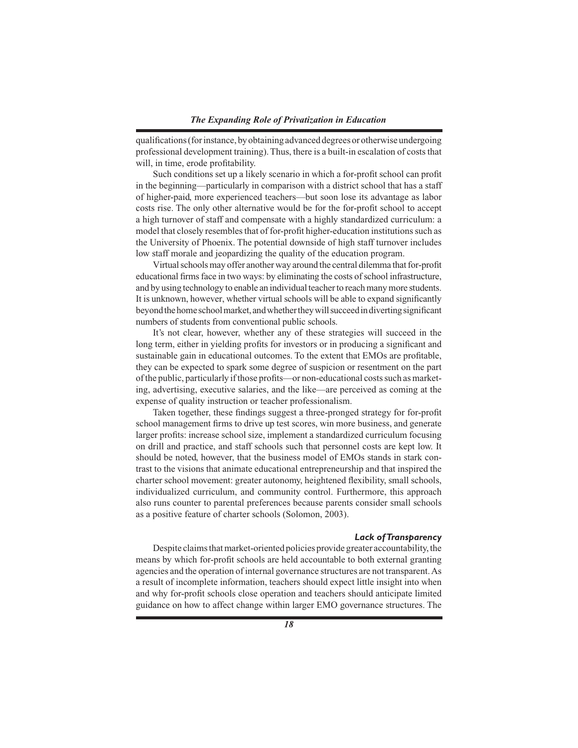qualifications (for instance, by obtaining advanced degrees or otherwise undergoing professional development training). Thus, there is a built-in escalation of costs that will, in time, erode profitability.

Such conditions set up a likely scenario in which a for-profit school can profit in the beginning—particularly in comparison with a district school that has a staff of higher-paid, more experienced teachers—but soon lose its advantage as labor costs rise. The only other alternative would be for the for-profit school to accept a high turnover of staff and compensate with a highly standardized curriculum: a model that closely resembles that of for-profit higher-education institutions such as the University of Phoenix. The potential downside of high staff turnover includes low staff morale and jeopardizing the quality of the education program.

Virtual schools may offer another way around the central dilemma that for-profit educational firms face in two ways: by eliminating the costs of school infrastructure, and by using technology to enable an individual teacher to reach many more students. It is unknown, however, whether virtual schools will be able to expand significantly beyond the home school market, and whether they will succeed in diverting significant numbers of students from conventional public schools.

 It's not clear, however, whether any of these strategies will succeed in the long term, either in yielding profits for investors or in producing a significant and sustainable gain in educational outcomes. To the extent that EMOs are profitable, they can be expected to spark some degree of suspicion or resentment on the part of the public, particularly if those profits—or non-educational costs such as marketing, advertising, executive salaries, and the like—are perceived as coming at the expense of quality instruction or teacher professionalism.

Taken together, these findings suggest a three-pronged strategy for for-profit school management firms to drive up test scores, win more business, and generate larger profits: increase school size, implement a standardized curriculum focusing on drill and practice, and staff schools such that personnel costs are kept low. It should be noted, however, that the business model of EMOs stands in stark contrast to the visions that animate educational entrepreneurship and that inspired the charter school movement: greater autonomy, heightened flexibility, small schools, individualized curriculum, and community control. Furthermore, this approach also runs counter to parental preferences because parents consider small schools as a positive feature of charter schools (Solomon, 2003).

#### *Lack of Transparency*

 Despite claims that market-oriented policies provide greater accountability, the means by which for-profit schools are held accountable to both external granting agencies and the operation of internal governance structures are not transparent. As a result of incomplete information, teachers should expect little insight into when and why for-profi t schools close operation and teachers should anticipate limited guidance on how to affect change within larger EMO governance structures. The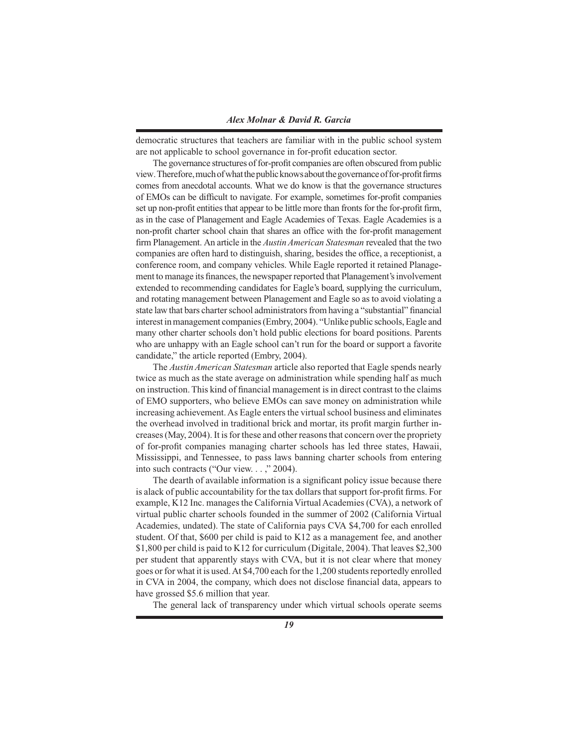democratic structures that teachers are familiar with in the public school system are not applicable to school governance in for-profi t education sector.

The governance structures of for-profit companies are often obscured from public view. Therefore, much of what the public knows about the governance of for-profit firms comes from anecdotal accounts. What we do know is that the governance structures of EMOs can be difficult to navigate. For example, sometimes for-profit companies set up non-profit entities that appear to be little more than fronts for the for-profit firm, as in the case of Planagement and Eagle Academies of Texas. Eagle Academies is a non-profit charter school chain that shares an office with the for-profit management firm Planagement. An article in the *Austin American Statesman* revealed that the two companies are often hard to distinguish, sharing, besides the office, a receptionist, a conference room, and company vehicles. While Eagle reported it retained Planagement to manage its finances, the newspaper reported that Planagement's involvement extended to recommending candidates for Eagle's board, supplying the curriculum, and rotating management between Planagement and Eagle so as to avoid violating a state law that bars charter school administrators from having a "substantial" financial interest in management companies (Embry, 2004). "Unlike public schools, Eagle and many other charter schools don't hold public elections for board positions. Parents who are unhappy with an Eagle school can't run for the board or support a favorite candidate," the article reported (Embry, 2004).

 The *Austin American Statesman* article also reported that Eagle spends nearly twice as much as the state average on administration while spending half as much on instruction. This kind of financial management is in direct contrast to the claims of EMO supporters, who believe EMOs can save money on administration while increasing achievement. As Eagle enters the virtual school business and eliminates the overhead involved in traditional brick and mortar, its profit margin further increases (May, 2004). It is for these and other reasons that concern over the propriety of for-profi t companies managing charter schools has led three states, Hawaii, Mississippi, and Tennessee, to pass laws banning charter schools from entering into such contracts ("Our view. . . ," 2004).

The dearth of available information is a significant policy issue because there is a lack of public accountability for the tax dollars that support for-profit firms. For example, K12 Inc. manages the California Virtual Academies (CVA), a network of virtual public charter schools founded in the summer of 2002 (California Virtual Academies, undated). The state of California pays CVA \$4,700 for each enrolled student. Of that, \$600 per child is paid to K12 as a management fee, and another \$1,800 per child is paid to K12 for curriculum (Digitale, 2004). That leaves \$2,300 per student that apparently stays with CVA, but it is not clear where that money goes or for what it is used. At \$4,700 each for the 1,200 students reportedly enrolled in CVA in 2004, the company, which does not disclose financial data, appears to have grossed \$5.6 million that year.

The general lack of transparency under which virtual schools operate seems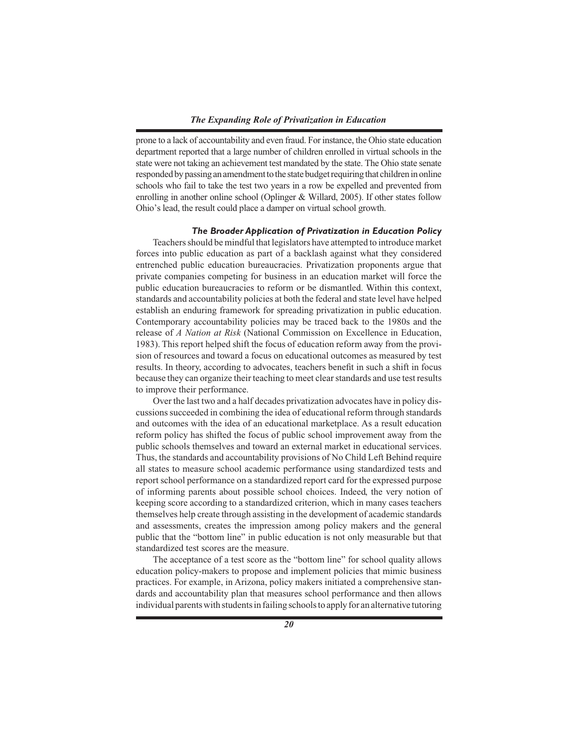## *The Expanding Role of Privatization in Education*

prone to a lack of accountability and even fraud. For instance, the Ohio state education department reported that a large number of children enrolled in virtual schools in the state were not taking an achievement test mandated by the state. The Ohio state senate responded by passing an amendment to the state budget requiring that children in online schools who fail to take the test two years in a row be expelled and prevented from enrolling in another online school (Oplinger & Willard, 2005). If other states follow Ohio's lead, the result could place a damper on virtual school growth.

## *The Broader Application of Privatization in Education Policy*

 Teachers should be mindful that legislators have attempted to introduce market forces into public education as part of a backlash against what they considered entrenched public education bureaucracies. Privatization proponents argue that private companies competing for business in an education market will force the public education bureaucracies to reform or be dismantled. Within this context, standards and accountability policies at both the federal and state level have helped establish an enduring framework for spreading privatization in public education. Contemporary accountability policies may be traced back to the 1980s and the release of *A Nation at Risk* (National Commission on Excellence in Education, 1983). This report helped shift the focus of education reform away from the provision of resources and toward a focus on educational outcomes as measured by test results. In theory, according to advocates, teachers benefit in such a shift in focus because they can organize their teaching to meet clear standards and use test results to improve their performance.

 Over the last two and a half decades privatization advocates have in policy discussions succeeded in combining the idea of educational reform through standards and outcomes with the idea of an educational marketplace. As a result education reform policy has shifted the focus of public school improvement away from the public schools themselves and toward an external market in educational services. Thus, the standards and accountability provisions of No Child Left Behind require all states to measure school academic performance using standardized tests and report school performance on a standardized report card for the expressed purpose of informing parents about possible school choices. Indeed, the very notion of keeping score according to a standardized criterion, which in many cases teachers themselves help create through assisting in the development of academic standards and assessments, creates the impression among policy makers and the general public that the "bottom line" in public education is not only measurable but that standardized test scores are the measure.

 The acceptance of a test score as the "bottom line" for school quality allows education policy-makers to propose and implement policies that mimic business practices. For example, in Arizona, policy makers initiated a comprehensive standards and accountability plan that measures school performance and then allows individual parents with students in failing schools to apply for an alternative tutoring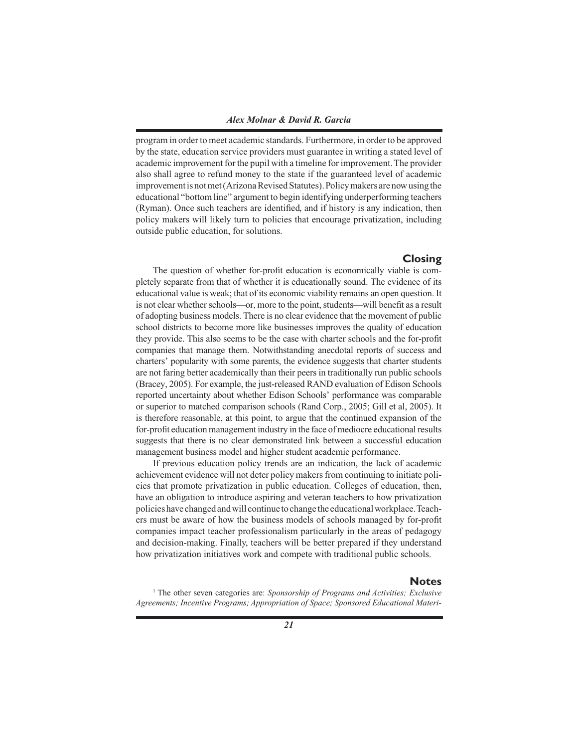program in order to meet academic standards. Furthermore, in order to be approved by the state, education service providers must guarantee in writing a stated level of academic improvement for the pupil with a timeline for improvement. The provider also shall agree to refund money to the state if the guaranteed level of academic improvement is not met (Arizona Revised Statutes). Policy makers are now using the educational "bottom line" argument to begin identifying underperforming teachers (Ryman). Once such teachers are identified, and if history is any indication, then policy makers will likely turn to policies that encourage privatization, including outside public education, for solutions.

# **Closing**

The question of whether for-profit education is economically viable is completely separate from that of whether it is educationally sound. The evidence of its educational value is weak; that of its economic viability remains an open question. It is not clear whether schools—or, more to the point, students—will benefit as a result of adopting business models. There is no clear evidence that the movement of public school districts to become more like businesses improves the quality of education they provide. This also seems to be the case with charter schools and the for-profit companies that manage them. Notwithstanding anecdotal reports of success and charters' popularity with some parents, the evidence suggests that charter students are not faring better academically than their peers in traditionally run public schools (Bracey, 2005). For example, the just-released RAND evaluation of Edison Schools reported uncertainty about whether Edison Schools' performance was comparable or superior to matched comparison schools (Rand Corp., 2005; Gill et al, 2005). It is therefore reasonable, at this point, to argue that the continued expansion of the for-profi t education management industry in the face of mediocre educational results suggests that there is no clear demonstrated link between a successful education management business model and higher student academic performance.

 If previous education policy trends are an indication, the lack of academic achievement evidence will not deter policy makers from continuing to initiate policies that promote privatization in public education. Colleges of education, then, have an obligation to introduce aspiring and veteran teachers to how privatization policies have changed and will continue to change the educational workplace. Teachers must be aware of how the business models of schools managed by for-profit companies impact teacher professionalism particularly in the areas of pedagogy and decision-making. Finally, teachers will be better prepared if they understand how privatization initiatives work and compete with traditional public schools.

# **Notes**

<sup>1</sup> The other seven categories are: *Sponsorship of Programs and Activities; Exclusive Agreements; Incentive Programs; Appropriation of Space; Sponsored Educational Materi-*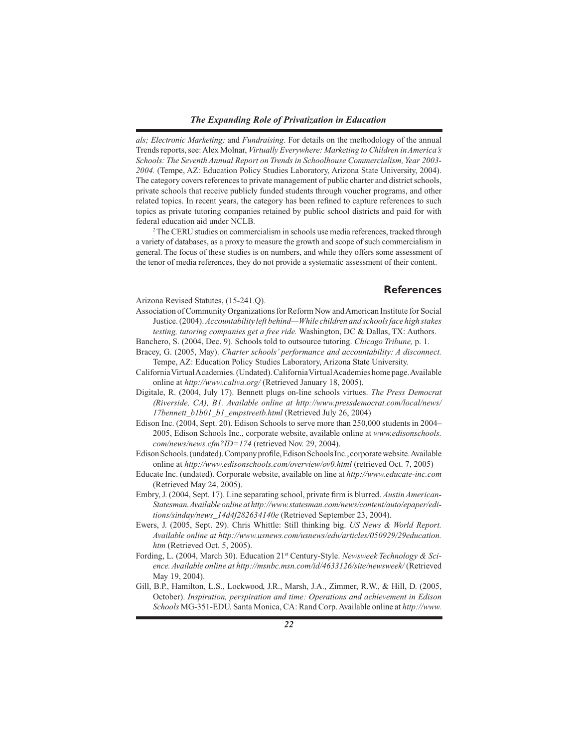*als; Electronic Marketing;* and *Fundraising*. For details on the methodology of the annual Trends reports, see: Alex Molnar, *Virtually Everywhere: Marketing to Children in America's Schools: The Seventh Annual Report on Trends in Schoolhouse Commercialism, Year 2003- 2004.* (Tempe, AZ: Education Policy Studies Laboratory, Arizona State University, 2004). The category covers references to private management of public charter and district schools, private schools that receive publicly funded students through voucher programs, and other related topics. In recent years, the category has been refined to capture references to such topics as private tutoring companies retained by public school districts and paid for with federal education aid under NCLB.

<sup>2</sup> The CERU studies on commercialism in schools use media references, tracked through a variety of databases, as a proxy to measure the growth and scope of such commercialism in general. The focus of these studies is on numbers, and while they offers some assessment of the tenor of media references, they do not provide a systematic assessment of their content.

# **References**

Arizona Revised Statutes, (15-241.Q).

- Association of Community Organizations for Reform Now and American Institute for Social Justice. (2004). *Accountability left behind—While children and schools face high stakes testing, tutoring companies get a free ride.* Washington, DC & Dallas, TX: Authors.
- Banchero, S. (2004, Dec. 9). Schools told to outsource tutoring. *Chicago Tribune,* p. 1.
- Bracey, G. (2005, May). *Charter schools' performance and accountability: A disconnect.*  Tempe, AZ: Education Policy Studies Laboratory, Arizona State University.
- California Virtual Academies. (Undated). California Virtual Academies home page. Available online at *http://www.caliva.org/* (Retrieved January 18, 2005).
- Digitale, R. (2004, July 17). Bennett plugs on-line schools virtues. *The Press Democrat (Riverside, CA), B1. Available online at http://www.pressdemocrat.com/local/news/ 17bennett\_b1b01\_b1\_empstreetb.html* (Retrieved July 26, 2004)
- Edison Inc. (2004, Sept. 20). Edison Schools to serve more than 250,000 students in 2004– 2005, Edison Schools Inc., corporate website, available online at *www.edisonschools. com/news/news.cfm?ID=174* (retrieved Nov. 29, 2004).
- Edison Schools. (undated). Company profile, Edison Schools Inc., corporate website. Available online at *http://www.edisonschools.com/overview/ov0.html* (retrieved Oct. 7, 2005)
- Educate Inc. (undated). Corporate website, available on line at *http://www.educate-inc.com*  (Retrieved May 24, 2005).
- Embry, J. (2004, Sept. 17). Line separating school, private firm is blurred. *Austin American*-*Statesman. Available online at http://www.statesman.com/news/content/auto/epaper/editions/sinday/news\_14d4f282634140e* (Retrieved September 23, 2004).
- Ewers, J. (2005, Sept. 29). Chris Whittle: Still thinking big. *US News & World Report. Available online at http://www.usnews.com/usnews/edu/articles/050929/29education. htm* (Retrieved Oct. 5, 2005).
- Fording, L. (2004, March 30). Education 21st Century-Style. *Newsweek Technology & Science. Available online at http://msnbc.msn.com/id/4633126/site/newsweek/* (Retrieved May 19, 2004).
- Gill, B.P., Hamilton, L.S., Lockwood, J.R., Marsh, J.A., Zimmer, R.W., & Hill, D. (2005, October). *Inspiration, perspiration and time: Operations and achievement in Edison Schools* MG-351-EDU. Santa Monica, CA: Rand Corp. Available online at *http://www.*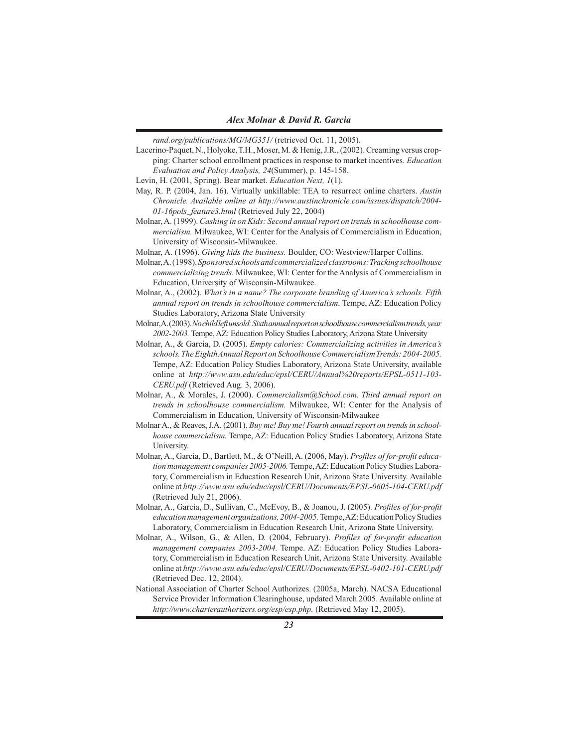*rand.org/publications/MG/MG351/* (retrieved Oct. 11, 2005).

- Lacerino-Paquet, N., Holyoke, T.H., Moser, M. & Henig, J.R., (2002). Creaming versus cropping: Charter school enrollment practices in response to market incentives. *Education Evaluation and Policy Analysis, 24*(Summer), p. 145-158.
- Levin, H. (2001, Spring). Bear market. *Education Next, 1*(1).
- May, R. P. (2004, Jan. 16). Virtually unkillable: TEA to resurrect online charters. *Austin Chronicle. Available online at http://www.austinchronicle.com/issues/dispatch/2004- 01-16pols\_feature3.html* (Retrieved July 22, 2004)
- Molnar, A. (1999). *Cashing in on Kids: Second annual report on trends in schoolhouse commercialism.* Milwaukee, WI: Center for the Analysis of Commercialism in Education, University of Wisconsin-Milwaukee.
- Molnar, A. (1996). *Giving kids the business.* Boulder, CO: Westview/Harper Collins.
- Molnar, A. (1998). *Sponsored schools and commercialized classrooms: Tracking schoolhouse commercializing trends.* Milwaukee, WI: Center for the Analysis of Commercialism in Education, University of Wisconsin-Milwaukee.
- Molnar, A., (2002). *What's in a name? The corporate branding of America's schools. Fifth annual report on trends in schoolhouse commercialism.* Tempe, AZ: Education Policy Studies Laboratory, Arizona State University
- Molnar, A. (2003). *No child left unsold: Sixth annual report on schoolhouse commercialism trends, year 2002-2003.* Tempe, AZ: Education Policy Studies Laboratory, Arizona State University
- Molnar, A., & Garcia, D. (2005). *Empty calories: Commercializing activities in America's schools. The Eighth Annual Report on Schoolhouse Commercialism Trends: 2004-2005.*  Tempe, AZ: Education Policy Studies Laboratory, Arizona State University, available online at *http://www.asu.edu/educ/epsl/CERU/Annual%20reports/EPSL-0511-103- CERU.pdf* (Retrieved Aug. 3, 2006).
- Molnar, A., & Morales, J. (2000). *Commercialism@School.com. Third annual report on trends in schoolhouse commercialism.* Milwaukee, WI: Center for the Analysis of Commercialism in Education, University of Wisconsin-Milwaukee
- Molnar A., & Reaves, J.A. (2001). *Buy me! Buy me! Fourth annual report on trends in schoolhouse commercialism.* Tempe, AZ: Education Policy Studies Laboratory, Arizona State University.
- Molnar, A., Garcia, D., Bartlett, M., & O'Neill, A. (2006, May). *Profiles of for-profit education management companies 2005-2006.* Tempe, AZ: Education Policy Studies Laboratory, Commercialism in Education Research Unit, Arizona State University. Available online at *http://www.asu.edu/educ/epsl/CERU/Documents/EPSL-0605-104-CERU.pdf* (Retrieved July 21, 2006).
- Molnar, A., Garcia, D., Sullivan, C., McEvoy, B., & Joanou, J. (2005). *Profiles of for-profit education management organizations, 2004-2005.* Tempe, AZ: Education Policy Studies Laboratory, Commercialism in Education Research Unit, Arizona State University.
- Molnar, A., Wilson, G., & Allen, D. (2004, February). *Profiles of for-profit education management companies 2003-2004.* Tempe. AZ: Education Policy Studies Laboratory, Commercialism in Education Research Unit, Arizona State University. Available online at *http://www.asu.edu/educ/epsl/CERU/Documents/EPSL-0402-101-CERU.pdf* (Retrieved Dec. 12, 2004).
- National Association of Charter School Authorizes. (2005a, March). NACSA Educational Service Provider Information Clearinghouse, updated March 2005. Available online at *http://www.charterauthorizers.org/esp/esp.php.* (Retrieved May 12, 2005).